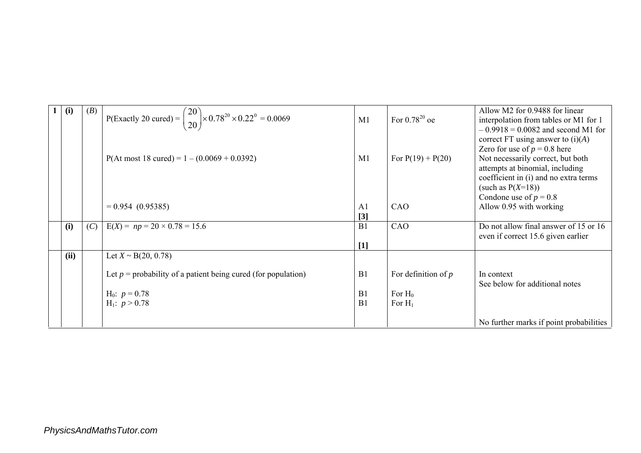| 1 | (i)  | (B) | P(Exactly 20 cured) = $\begin{pmatrix} 20 \\ 20 \end{pmatrix}$ × 0.78 <sup>20</sup> × 0.22 <sup>0</sup> = 0.0069 | M1                                  | For $0.78^{20}$ oe                              | Allow M2 for 0.9488 for linear<br>interpolation from tables or M1 for 1<br>$-0.9918 = 0.0082$ and second M1 for                                                                                                |
|---|------|-----|------------------------------------------------------------------------------------------------------------------|-------------------------------------|-------------------------------------------------|----------------------------------------------------------------------------------------------------------------------------------------------------------------------------------------------------------------|
|   |      |     | $P($ At most 18 cured $) = 1 - (0.0069 + 0.0392)$                                                                | M1                                  | For $P(19) + P(20)$                             | correct FT using answer to $(i)(A)$<br>Zero for use of $p = 0.8$ here<br>Not necessarily correct, but both<br>attempts at binomial, including<br>coefficient in (i) and no extra terms<br>(such as $P(X=18)$ ) |
|   |      |     | $= 0.954(0.95385)$                                                                                               | A <sub>1</sub><br>$\lceil 3 \rceil$ | CAO                                             | Condone use of $p = 0.8$<br>Allow 0.95 with working                                                                                                                                                            |
|   | (i)  | (C) | $E(X) = np = 20 \times 0.78 = 15.6$                                                                              | B1                                  | CAO                                             | Do not allow final answer of 15 or 16<br>even if correct 15.6 given earlier                                                                                                                                    |
|   | (ii) |     | Let $X \sim B(20, 0.78)$                                                                                         | $[1]$                               |                                                 |                                                                                                                                                                                                                |
|   |      |     | Let $p =$ probability of a patient being cured (for population)<br>$H_0$ : $p = 0.78$<br>$H_1$ : $p > 0.78$      | B1<br>B <sub>1</sub><br>B1          | For definition of $p$<br>For $H_0$<br>For $H_1$ | In context<br>See below for additional notes                                                                                                                                                                   |
|   |      |     |                                                                                                                  |                                     |                                                 | No further marks if point probabilities                                                                                                                                                                        |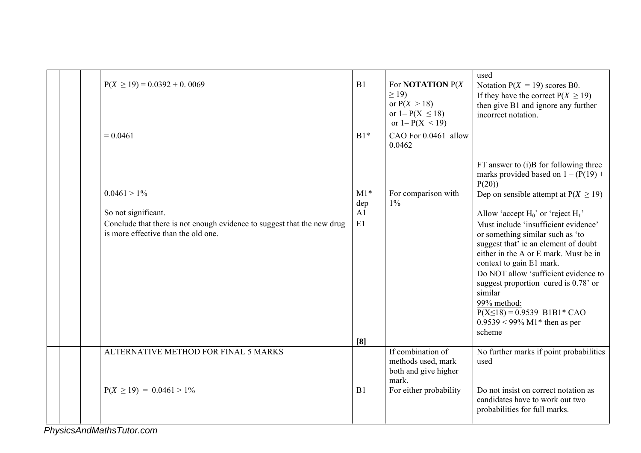|  | $P(X \ge 19) = 0.0392 + 0.0069$<br>$= 0.0461$                                                                                                           | B1<br>$B1*$              | For <b>NOTATION</b> $P(X)$<br>$\geq$ 19)<br>or $P(X > 18)$<br>or $1 - P(X \le 18)$<br>or $1 - P(X < 19)$<br>CAO For 0.0461 allow<br>0.0462 | used<br>Notation $P(X = 19)$ scores B0.<br>If they have the correct $P(X \ge 19)$<br>then give B1 and ignore any further<br>incorrect notation.                                                                                                                                                                                                                                                                                                                                                                                                                              |
|--|---------------------------------------------------------------------------------------------------------------------------------------------------------|--------------------------|--------------------------------------------------------------------------------------------------------------------------------------------|------------------------------------------------------------------------------------------------------------------------------------------------------------------------------------------------------------------------------------------------------------------------------------------------------------------------------------------------------------------------------------------------------------------------------------------------------------------------------------------------------------------------------------------------------------------------------|
|  | $0.0461 > 1\%$<br>So not significant.<br>Conclude that there is not enough evidence to suggest that the new drug<br>is more effective than the old one. | $M1*$<br>dep<br>A1<br>E1 | For comparison with<br>$1\%$                                                                                                               | FT answer to (i)B for following three<br>marks provided based on $1 - (P(19) +$<br>P(20)<br>Dep on sensible attempt at $P(X \ge 19)$<br>Allow 'accept $H_0$ ' or 'reject $H_1$ '<br>Must include 'insufficient evidence'<br>or something similar such as 'to<br>suggest that' ie an element of doubt<br>either in the A or E mark. Must be in<br>context to gain E1 mark.<br>Do NOT allow 'sufficient evidence to<br>suggest proportion cured is 0.78' or<br>similar<br>99% method:<br>$P(X \le 18) = 0.9539$ B1B1* CAO<br>$0.9539 < 99\% \text{ M1*}$ then as per<br>scheme |
|  | ALTERNATIVE METHOD FOR FINAL 5 MARKS<br>$P(X \ge 19) = 0.0461 > 1\%$                                                                                    | [8]<br>B1                | If combination of<br>methods used, mark<br>both and give higher<br>mark.<br>For either probability                                         | No further marks if point probabilities<br>used<br>Do not insist on correct notation as<br>candidates have to work out two<br>probabilities for full marks.                                                                                                                                                                                                                                                                                                                                                                                                                  |

*PhysicsAndMathsTutor.com*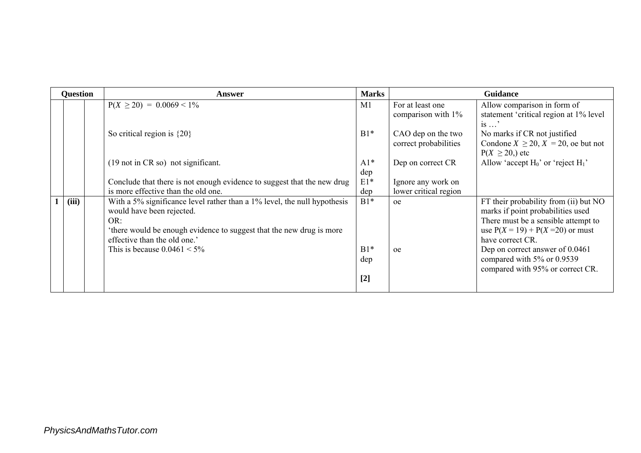| <b>Question</b> | <b>Answer</b>                                                                                                                                                                                                        | <b>Marks</b> |                                             | <b>Guidance</b>                                                                                                                                                              |
|-----------------|----------------------------------------------------------------------------------------------------------------------------------------------------------------------------------------------------------------------|--------------|---------------------------------------------|------------------------------------------------------------------------------------------------------------------------------------------------------------------------------|
|                 | $P(X \ge 20) = 0.0069 \le 1\%$                                                                                                                                                                                       | M1           | For at least one<br>comparison with 1%      | Allow comparison in form of<br>statement 'critical region at 1% level<br>$is \dots$                                                                                          |
|                 | So critical region is $\{20\}$                                                                                                                                                                                       | $B1*$        | CAO dep on the two<br>correct probabilities | No marks if CR not justified<br>Condone $X \ge 20$ , $X = 20$ , oe but not<br>$P(X \ge 20)$ , etc                                                                            |
|                 | $(19 \text{ not in CR so})$ not significant.                                                                                                                                                                         | $A1*$<br>dep | Dep on correct CR                           | Allow 'accept $H_0$ ' or 'reject $H_1$ '                                                                                                                                     |
|                 | Conclude that there is not enough evidence to suggest that the new drug                                                                                                                                              | $E1*$        | Ignore any work on                          |                                                                                                                                                                              |
|                 | is more effective than the old one.                                                                                                                                                                                  | dep          | lower critical region                       |                                                                                                                                                                              |
| (iii)           | With a 5% significance level rather than a 1% level, the null hypothesis<br>would have been rejected.<br>OR:<br>'there would be enough evidence to suggest that the new drug is more<br>effective than the old one.' | $B1*$        | <sub>oe</sub>                               | FT their probability from (ii) but NO<br>marks if point probabilities used<br>There must be a sensible attempt to<br>use $P(X = 19) + P(X = 20)$ or must<br>have correct CR. |
|                 | This is because $0.0461 < 5\%$                                                                                                                                                                                       | $B1*$        | oe                                          | Dep on correct answer of 0.0461                                                                                                                                              |
|                 |                                                                                                                                                                                                                      | dep          |                                             | compared with 5% or 0.9539<br>compared with 95% or correct CR.                                                                                                               |
|                 |                                                                                                                                                                                                                      | $[2]$        |                                             |                                                                                                                                                                              |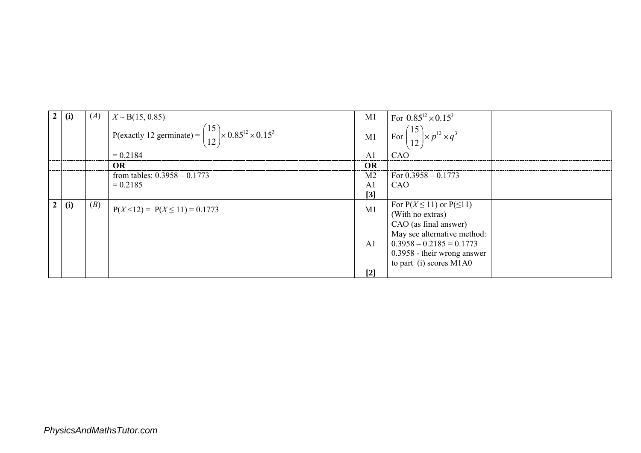|     | (A) | $X \sim B(15, 0.85)$                                                                | M1             | For $0.85^{12} \times 0.15^3$                                                     |  |
|-----|-----|-------------------------------------------------------------------------------------|----------------|-----------------------------------------------------------------------------------|--|
|     |     | P(exactly 12 germinate) = $\binom{15}{12}$ × 0.85 <sup>12</sup> × 0.15 <sup>3</sup> |                | M1 $\left[\text{For } \left(\frac{15}{12}\right) \times p^{12} \times q^3\right]$ |  |
|     |     | $= 0.2184$                                                                          | A <sub>1</sub> | CAO                                                                               |  |
|     |     | <b>OR</b>                                                                           | OR             |                                                                                   |  |
|     |     | from tables: $0.3958 - 0.1773$                                                      | M <sub>2</sub> | For $0.3958 - 0.1773$                                                             |  |
|     |     | $= 0.2185$                                                                          | $\mathbf{A}$ 1 | CAO                                                                               |  |
|     |     |                                                                                     | $[3]$          |                                                                                   |  |
| (i) | (B) | $P(X < 12) = P(X \le 11) = 0.1773$                                                  | M1             | For $P(X \le 11)$ or $P(\le 11)$<br>(With no extras)                              |  |
|     |     |                                                                                     |                | CAO (as final answer)                                                             |  |
|     |     |                                                                                     |                | May see alternative method:                                                       |  |
|     |     |                                                                                     | A <sub>1</sub> | $0.3958 - 0.2185 = 0.1773$                                                        |  |
|     |     |                                                                                     |                | 0.3958 - their wrong answer                                                       |  |
|     |     |                                                                                     |                | to part (i) scores M1A0                                                           |  |
|     |     |                                                                                     | $[2]$          |                                                                                   |  |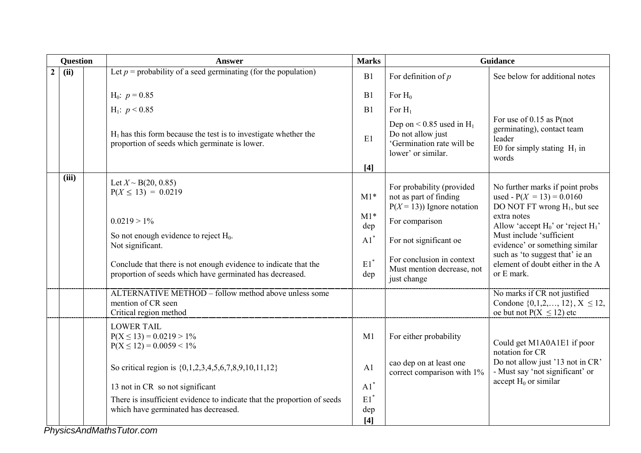|                | <b>Question</b> |   | <b>Answer</b>                                                                                                               | <b>Marks</b>           | <b>Guidance</b>                                                                                       |                                                                                                               |  |
|----------------|-----------------|---|-----------------------------------------------------------------------------------------------------------------------------|------------------------|-------------------------------------------------------------------------------------------------------|---------------------------------------------------------------------------------------------------------------|--|
| $\overline{2}$ | (ii)            |   | Let $p =$ probability of a seed germinating (for the population)                                                            | B1                     | For definition of $p$                                                                                 | See below for additional notes                                                                                |  |
|                |                 |   | $H_0$ : $p = 0.85$                                                                                                          | B1                     | For $H_0$                                                                                             |                                                                                                               |  |
|                |                 |   | $H_1$ : $p < 0.85$                                                                                                          | B1                     | For $H_1$                                                                                             |                                                                                                               |  |
|                |                 |   | $H_1$ has this form because the test is to investigate whether the<br>proportion of seeds which germinate is lower.         | E1                     | Dep on $< 0.85$ used in $H_1$<br>Do not allow just<br>'Germination rate will be<br>lower' or similar. | For use of $0.15$ as P(not<br>germinating), contact team<br>leader<br>E0 for simply stating $H_1$ in<br>words |  |
|                |                 |   |                                                                                                                             | $[4]$                  |                                                                                                       |                                                                                                               |  |
|                | (iii)           |   | Let $X \sim B(20, 0.85)$<br>$P(X \le 13) = 0.0219$                                                                          | $M1*$                  | For probability (provided<br>not as part of finding<br>$P(X = 13)$ ) Ignore notation                  | No further marks if point probs<br>used - $P(X = 13) = 0.0160$<br>DO NOT FT wrong H <sub>1</sub> , but see    |  |
|                |                 |   | $0.0219 > 1\%$                                                                                                              | $M1*$<br>dep           | For comparison                                                                                        | extra notes<br>Allow 'accept $H_0$ ' or 'reject $H_1$ '                                                       |  |
|                |                 |   | So not enough evidence to reject $H_0$ .<br>Not significant.                                                                | $A1^*$                 | For not significant oe                                                                                | Must include 'sufficient<br>evidence' or something similar                                                    |  |
|                |                 |   | Conclude that there is not enough evidence to indicate that the<br>proportion of seeds which have germinated has decreased. | $\mathrm{E1}^*$<br>dep | For conclusion in context<br>Must mention decrease, not<br>just change                                | such as 'to suggest that' ie an<br>element of doubt either in the A<br>or E mark.                             |  |
|                |                 |   | ALTERNATIVE METHOD – follow method above unless some<br>mention of CR seen<br>Critical region method                        |                        |                                                                                                       | No marks if CR not justified<br>Condone $\{0,1,2,,12\}$ , $X \le 12$ ,<br>oe but not $P(X \le 12)$ etc        |  |
|                |                 |   | <b>LOWER TAIL</b><br>$P(X \le 13) = 0.0219 > 1\%$<br>$P(X \le 12) = 0.0059 \le 1\%$                                         | M1                     | For either probability                                                                                | Could get M1A0A1E1 if poor<br>notation for CR                                                                 |  |
|                |                 |   | So critical region is {0,1,2,3,4,5,6,7,8,9,10,11,12}                                                                        | A <sub>1</sub>         | cao dep on at least one<br>correct comparison with 1%                                                 | Do not allow just '13 not in CR'<br>- Must say 'not significant' or                                           |  |
|                |                 |   | 13 not in CR so not significant                                                                                             | $A1^*$                 |                                                                                                       | accept $H_0$ or similar                                                                                       |  |
|                |                 |   | There is insufficient evidence to indicate that the proportion of seeds<br>which have germinated has decreased.             | $E1^*$<br>dep<br>[4]   |                                                                                                       |                                                                                                               |  |
|                |                 | . | $\sim$                                                                                                                      |                        |                                                                                                       |                                                                                                               |  |

*PhysicsAndMathsTutor.com*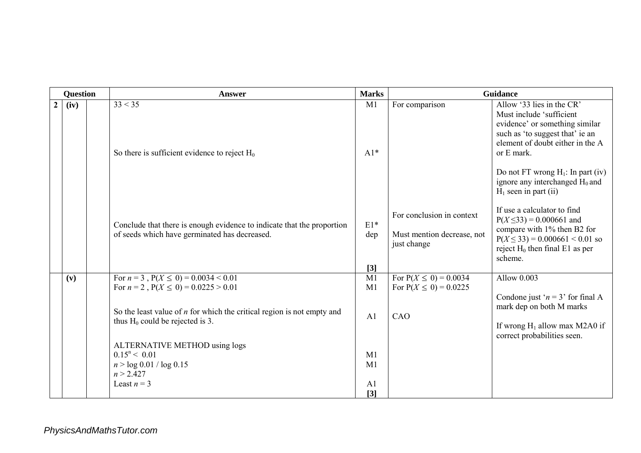|                | <b>Question</b> | <b>Answer</b>                                                                                                           | <b>Marks</b>          |                                                                        | Guidance                                                                                                                                                                                                                                                                            |
|----------------|-----------------|-------------------------------------------------------------------------------------------------------------------------|-----------------------|------------------------------------------------------------------------|-------------------------------------------------------------------------------------------------------------------------------------------------------------------------------------------------------------------------------------------------------------------------------------|
| $\overline{2}$ | (iv)            | 33 < 35<br>So there is sufficient evidence to reject $H_0$                                                              | M1<br>$A1*$           | For comparison                                                         | Allow '33 lies in the CR'<br>Must include 'sufficient<br>evidence' or something similar<br>such as 'to suggest that' ie an<br>element of doubt either in the A<br>or E mark.<br>Do not FT wrong $H_1$ : In part (iv)<br>ignore any interchanged $H_0$ and<br>$H1$ seen in part (ii) |
|                |                 | Conclude that there is enough evidence to indicate that the proportion<br>of seeds which have germinated has decreased. | $E1*$<br>dep<br>$[3]$ | For conclusion in context<br>Must mention decrease, not<br>just change | If use a calculator to find<br>$P(X \le 33) = 0.000661$ and<br>compare with 1% then B2 for<br>$P(X \le 33) = 0.000661 \le 0.01$ so<br>reject $H_0$ then final E1 as per<br>scheme.                                                                                                  |
|                | (v)             | For $n = 3$ , $P(X \le 0) = 0.0034 < 0.01$<br>For $n = 2$ , $P(X \le 0) = 0.0225 > 0.01$                                | M1<br>M1              | For $P(X \le 0) = 0.0034$<br>For $P(X \le 0) = 0.0225$                 | Allow 0.003                                                                                                                                                                                                                                                                         |
|                |                 | So the least value of $n$ for which the critical region is not empty and<br>thus $H_0$ could be rejected is 3.          | A <sub>1</sub>        | CAO                                                                    | Condone just ' $n = 3$ ' for final A<br>mark dep on both M marks<br>If wrong $H_1$ allow max M2A0 if<br>correct probabilities seen.                                                                                                                                                 |
|                |                 | ALTERNATIVE METHOD using logs<br>$0.15^n < 0.01$<br>n > log 0.01 / log 0.15<br>n > 2.427<br>Least $n = 3$               | M1<br>M <sub>1</sub>  |                                                                        |                                                                                                                                                                                                                                                                                     |
|                |                 |                                                                                                                         | A <sub>1</sub><br>[3] |                                                                        |                                                                                                                                                                                                                                                                                     |